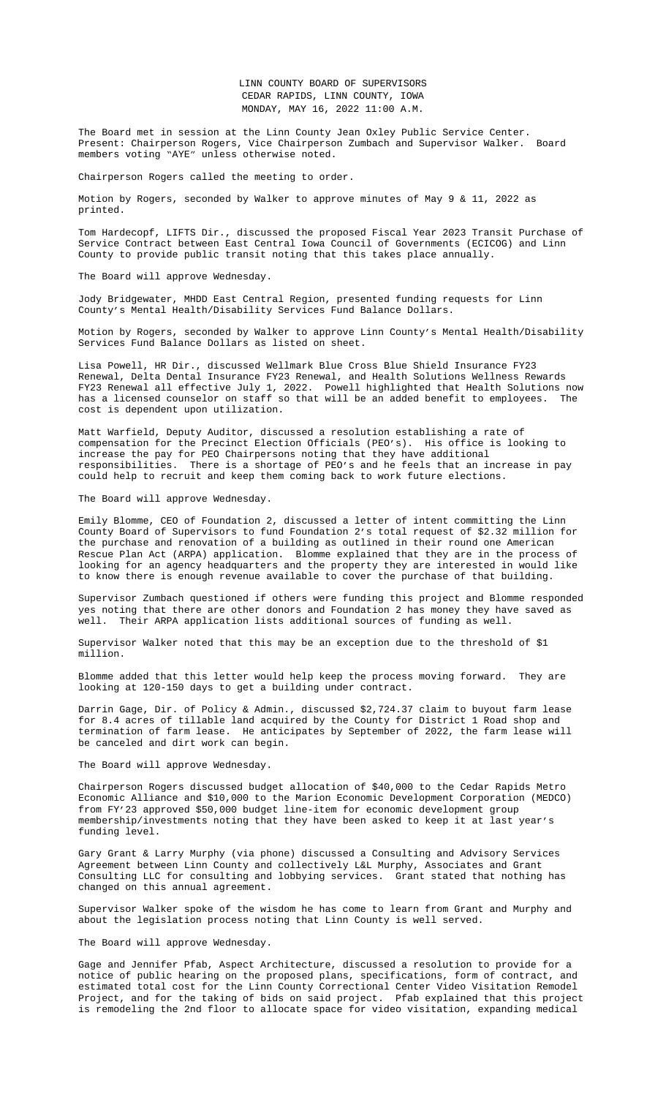Tom Hardecopf, LIFTS Dir., discussed the proposed Fiscal Year 2023 Transit Purchase of Service Contract between East Central Iowa Council of Governments (ECICOG) and Linn County to provide public transit noting that this takes place annually.

The Board will approve Wednesday.

Jody Bridgewater, MHDD East Central Region, presented funding requests for Linn County's Mental Health/Disability Services Fund Balance Dollars.

Motion by Rogers, seconded by Walker to approve Linn County's Mental Health/Disability Services Fund Balance Dollars as listed on sheet.

Lisa Powell, HR Dir., discussed Wellmark Blue Cross Blue Shield Insurance FY23 Renewal, Delta Dental Insurance FY23 Renewal, and Health Solutions Wellness Rewards FY23 Renewal all effective July 1, 2022. Powell highlighted that Health Solutions now has a licensed counselor on staff so that will be an added benefit to employees. The cost is dependent upon utilization.

Matt Warfield, Deputy Auditor, discussed a resolution establishing a rate of compensation for the Precinct Election Officials (PEO's). His office is looking to increase the pay for PEO Chairpersons noting that they have additional responsibilities. There is a shortage of PEO's and he feels that an increase in pay could help to recruit and keep them coming back to work future el[ections.](file:///C:\\Users\\AHoy\\AppData\\Local\\Microsoft\\Windows\\INetCache\\Content.Outlook\\M9Z7QANL\\Documents\\5-16%20ECICOG%20Purchase%20of%20Service%20Contract%20FY23.pdf)

The Board will approve Wednesday.

Emily Blomme, CEO of Foundation 2, discussed a letter of intent committing the Linn County Board of Supervisors to fund Foundation 2's total request of \$2.32 million for the purch[ase and renovation of a building as outlined in](file:///C:\\Users\\AHoy\\AppData\\Local\\Microsoft\\Windows\\INetCache\\Content.Outlook\\M9Z7QANL\\Documents\\5-16%20MHDS%20Fund%20Bal%20Chart.pdf) their round one American Rescue Plan Act (ARPA) application. Blomme explained that they are in the process of looking for an agency headquarters and the property they are i[nterested in would like](file:///C:\\Users\\AHoy\\AppData\\Local\\Microsoft\\Windows\\INetCache\\Content.Outlook\\M9Z7QANL\\Documents\\5-16%20MHDS%20Fund%20Bal%20Chart.pdf)  to know there is enough revenue available to cover the purchase of that building.

Supervisor Zumbach questioned if [others were funding this project and Blo](file:///C:\\Users\\AHoy\\AppData\\Local\\Microsoft\\Windows\\INetCache\\Content.Outlook\\M9Z7QANL\\Documents\\5-16%20&%205-18%20FY23%20Wellmark%20BCBS%20Renewal.pdf)mme responded yes notin[g that there are other](file:///C:\\Users\\AHoy\\AppData\\Local\\Microsoft\\Windows\\INetCache\\Content.Outlook\\M9Z7QANL\\Documents\\5-16%20&%205-18%20FY23%20Delta%20Dental%20Renewal.pdf) donors and Foundat[ion 2 has money they have saved a](file:///C:\\Users\\AHoy\\AppData\\Local\\Microsoft\\Windows\\INetCache\\Content.Outlook\\M9Z7QANL\\Documents\\5-16%20&%205-18%20FY23%20Health%20Solutions%20Mast%20Agreement%20Schedule%20A.pdf)s well. Their ARPA application lists additional sources of funding as well.

Supervisor Walker noted that this may be an exception due to the threshold of \$1 million.

Blomme added that this letter would help keep the process moving forward. They are looking at 120-150 days to get a building under contract.

Darrin Gage, Dir. of Policy & Admin., discussed \$2,724.37 claim to buyout farm lease for 8.4 acres of tillable land acquired by the County for District 1 Road shop and termination of farm lease. He anticipates by September of 2022, the farm lease will be canceled and dirt work can begin.

The Board will approve Wednesday.

Chairperson Rogers discussed budget allocation of \$40,000 to the Cedar Rapids Metro Economic Alliance and \$10,000 to the Marion Economic Development Corporation (MEDCO) from FY'23 approved \$50,000 budget line-item for economic development group membership/investments noting that they have been asked to keep it at last year's funding level.

Gary Grant & Larry Murphy (via phone) discussed a Consulting and Advisory Services Agreement between Linn County and collectively L&L Murphy, Associates and Grant Consulting LLC for consulting and lobbying services. Grant stated that nothing has changed on this annual agreement.

Supervisor Walker spoke of the wisdom he has come to learn from Grant and Murphy and about the legislation process noting that Linn County is well served.

The Board will approve Wednesday.

Gage and Jennifer Pfab, Aspect Architecture, discussed a resolution to provide for a notice of public hearing on the proposed plans, specifications, form of contract, and estimated total cost for the Linn County Correctional Center Video Visitation Remodel Project, and for the taking of bids on said project. Pfab explained that this project is remodeling the 2nd floor to allocate space for video visitation, expanding medical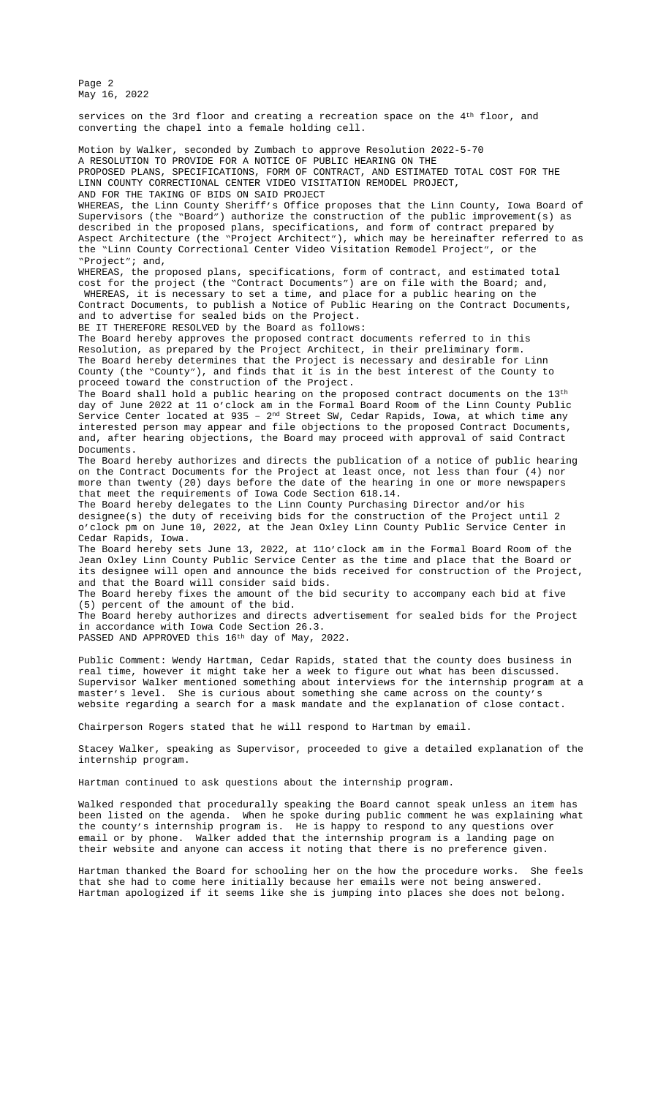Page 2 May 16, 2022

services on the 3rd floor and creating a recreation space on the 4<sup>th</sup> floor, and converting the chapel into a female holding cell. Motion by Walker, seconded by Zumbach to approve Resolution 2022-5-70 A RESOLUTION TO PROVIDE FOR A NOTICE OF PUBLIC HEARING ON THE PROPOSED PLANS, SPECIFICATIONS, FORM OF CONTRACT, AND ESTIMATED TOTAL COST FOR THE LINN COUNTY CORRECTIONAL CENTER VIDEO VISITATION REMODEL PROJECT, AND FOR THE TAKING OF BIDS ON SAID PROJECT WHEREAS, the Linn County Sheriff's Office proposes that the Linn County, Iowa Board of Supervisors (the "Board") authorize the construction of the public improvement(s) as described in the proposed plans, specifications, and form of contract prepared by Aspect Architecture (the "Project Architect"), which may be hereinafter referred to as the "Linn County Correctional Center Video Visitation Remodel Project", or the "Project"; and, WHEREAS, the proposed plans, specifications, form of contract, and estimated total cost for the project (the "Contract Documents") are on file with the Board; and, WHEREAS, it is necessary to set a time, and place for a public hearing on the Contract Documents, to publish a Notice of Public Hearing on the Contract Documents, and to advertise for sealed bids on the Project. BE IT THEREFORE RESOLVED by the Board as follows: The Board hereby approves the proposed contract documents referred to in this Resolution, as prepared by the Project Architect, in their preliminary form. The Board hereby determines that the Project is necessary and desirable for Linn County (the "County"), and finds that it is in the best interest of the County to proceed toward the construction of the Project. The Board shall hold a public hearing on the proposed contract documents on the 13<sup>th</sup> day of June 2022 at 11 o'clock am in the Formal Board Room of the Linn County Public Service Center located at 935 -  $2<sup>nd</sup>$  Street SW, Cedar Rapids, Iowa, at which time any interested person may appear and file objections to the proposed Contract Documents, and, after hearing objections, the Board may proceed with approval of said Contract Documents. The Board hereby authorizes and directs the publication of a notice of public hearing on the Contract Documents for the Project at least once, not less than four (4) nor more than twenty (20) days before the date of the hearing in one or more newspapers that meet the requirements of Iowa Code Section 618.14. The Board hereby delegates to the Linn County Purchasing Director and/or his designee(s) the duty of receiving bids for the construction of the Project until 2 o'clock pm on June 10, 2022, at the Jean Oxley Linn County Public Service Center in Cedar Rapids, Iowa. The Board hereby sets June 13, 2022, at 11o'clock am in the Formal Board Room of the Jean Oxley Linn County Public Service Center as the time and place that the Board or its designee will open and announce the bids received for construction of the Project, and that the Board will consider said bids. The Board hereby fixes the amount of the bid security to accompany each bid at five (5) percent of the amount of the bid. The Board hereby authorizes and directs advertisement for sealed bids for the Project in accordance with Iowa Code Section 26.3. PASSED AND APPROVED this 16th day of May, 2022. Public Comment: Wendy Hartman, Cedar Rapids, stated that the county does business in real time, however it might take her a week to figure out what has been discussed.

Supervisor Walker mentioned something about interviews for the internship program at a master's level. She is curious about something she came across on the county's website regarding a search for a mask mandate and the explanation of close contact.

Chairperson Rogers stated that he will respond to Hartman by email.

Stacey Walker, speaking as Supervisor, proceeded to give a detailed explanation of the internship program.

Hartman continued to ask questions about the internship program.

Walked responded that procedurally speaking the Board cannot speak unless an item has been listed on the agenda. When he spoke during public comment he was explaining what the county's internship program is. He is happy to respond to any questions over email or by phone. Walker added that the internship program is a landing page on their website and anyone can access it noting that there is no preference given.

Hartman thanked the Board for schooling her on the how the procedure works. She feels that she had to come here initially because her emails were not being answered. Hartman apologized if it seems like she is jumping into places she does not belong.